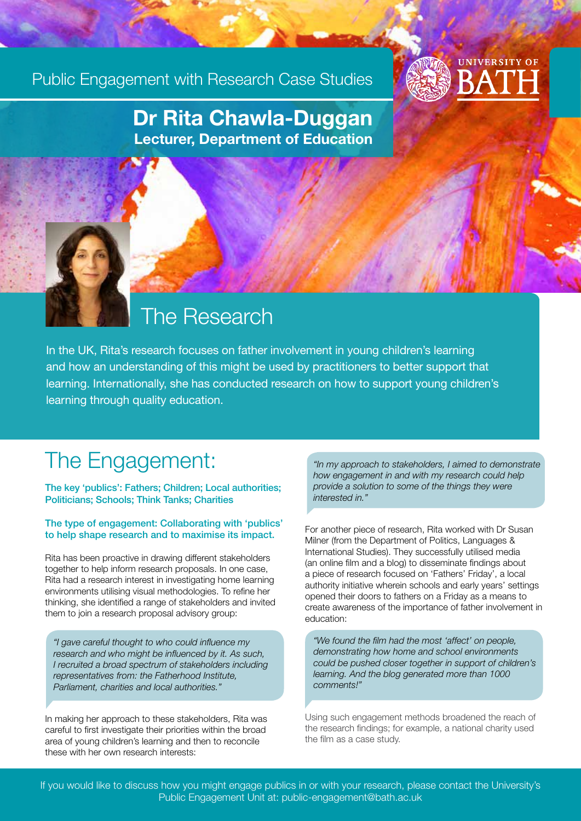### Public Engagement with Research Case Studies



### Dr Rita Chawla-Duggan Lecturer, Department of Education

## The Research

In the UK, Rita's research focuses on father involvement in young children's learning and how an understanding of this might be used by practitioners to better support that learning. Internationally, she has conducted research on how to support young children's learning through quality education.

## The Engagement:

The key 'publics': Fathers; Children; Local authorities; Politicians; Schools; Think Tanks; Charities

#### The type of engagement: Collaborating with 'publics' to help shape research and to maximise its impact.

Rita has been proactive in drawing different stakeholders together to help inform research proposals. In one case, Rita had a research interest in investigating home learning environments utilising visual methodologies. To refine her thinking, she identified a range of stakeholders and invited them to join a research proposal advisory group:

*"I gave careful thought to who could influence my research and who might be influenced by it. As such, I recruited a broad spectrum of stakeholders including representatives from: the Fatherhood Institute, Parliament, charities and local authorities."*

In making her approach to these stakeholders, Rita was careful to first investigate their priorities within the broad area of young children's learning and then to reconcile these with her own research interests:

*"In my approach to stakeholders, I aimed to demonstrate how engagement in and with my research could help provide a solution to some of the things they were interested in."* 

For another piece of research, Rita worked with Dr Susan Milner (from the Department of Politics, Languages & International Studies). They successfully utilised media (an online film and a blog) to disseminate findings about a piece of research focused on 'Fathers' Friday', a local authority initiative wherein schools and early years' settings opened their doors to fathers on a Friday as a means to create awareness of the importance of father involvement in education:

*"We found the film had the most 'affect' on people, demonstrating how home and school environments could be pushed closer together in support of children's learning. And the blog generated more than 1000 comments!"*

Using such engagement methods broadened the reach of the research findings; for example, a national charity used the film as a case study.

If you would like to discuss how you might engage publics in or with your research, please contact the University's Public Engagement Unit at: public-engagement@bath.ac.uk